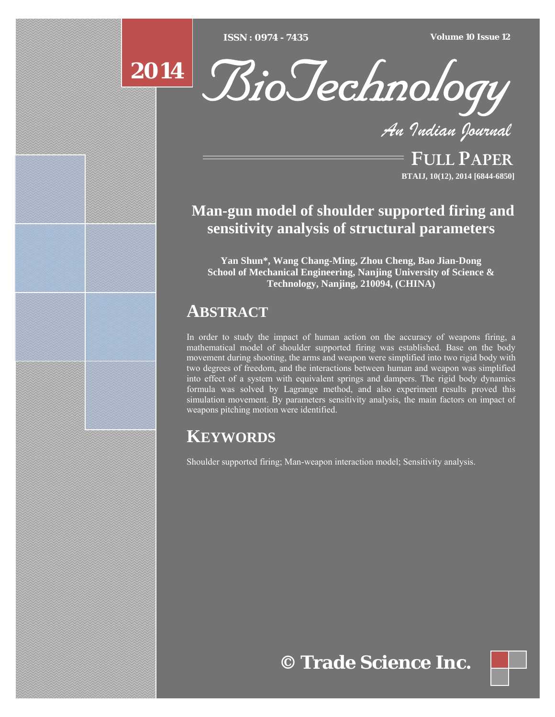[Type text] [Type text] [Type text] *ISSN : 0974 - 7435 Volume 10 Issue 12*



*An Indian Journal*

FULL PAPER **BTAIJ, 10(12), 2014 [6844-6850]**

### **Man-gun model of shoulder supported firing and sensitivity analysis of structural parameters**

**Yan Shun\*, Wang Chang-Ming, Zhou Cheng, Bao Jian-Dong School of Mechanical Engineering, Nanjing University of Science & Technology, Nanjing, 210094, (CHINA)** 

## **ABSTRACT**

In order to study the impact of human action on the accuracy of weapons firing, a mathematical model of shoulder supported firing was established. Base on the body movement during shooting, the arms and weapon were simplified into two rigid body with two degrees of freedom, and the interactions between human and weapon was simplified into effect of a system with equivalent springs and dampers. The rigid body dynamics formula was solved by Lagrange method, and also experiment results proved this simulation movement. By parameters sensitivity analysis, the main factors on impact of weapons pitching motion were identified.

# **KEYWORDS**

Shoulder supported firing; Man-weapon interaction model; Sensitivity analysis.

**© Trade Science Inc.**

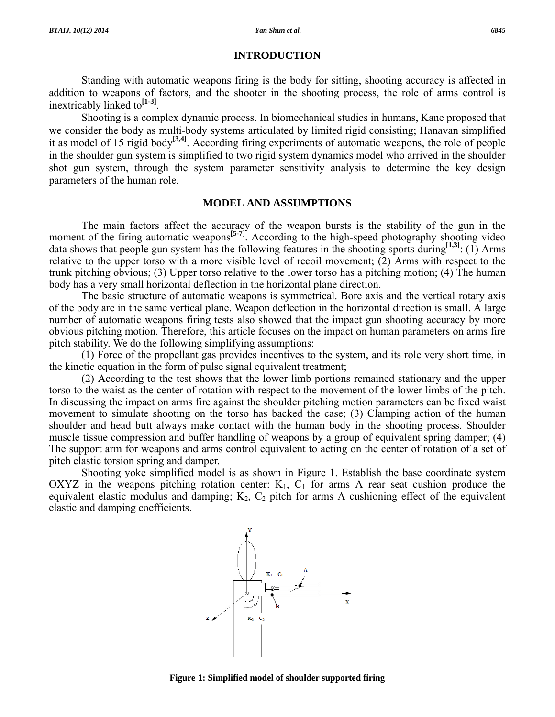#### **INTRODUCTION**

 Standing with automatic weapons firing is the body for sitting, shooting accuracy is affected in addition to weapons of factors, and the shooter in the shooting process, the role of arms control is inextricably linked to**[1-3]**.

 Shooting is a complex dynamic process. In biomechanical studies in humans, Kane proposed that we consider the body as multi-body systems articulated by limited rigid consisting; Hanavan simplified it as model of 15 rigid body**[3,4]**. According firing experiments of automatic weapons, the role of people in the shoulder gun system is simplified to two rigid system dynamics model who arrived in the shoulder shot gun system, through the system parameter sensitivity analysis to determine the key design parameters of the human role.

#### **MODEL AND ASSUMPTIONS**

 The main factors affect the accuracy of the weapon bursts is the stability of the gun in the moment of the firing automatic weapons<sup>[5-7]</sup>. According to the high-speed photography shooting video data shows that people gun system has the following features in the shooting sports during**[1,3]**: (1) Arms relative to the upper torso with a more visible level of recoil movement;  $(2)$  Arms with respect to the trunk pitching obvious; (3) Upper torso relative to the lower torso has a pitching motion; (4) The human body has a very small horizontal deflection in the horizontal plane direction.

 The basic structure of automatic weapons is symmetrical. Bore axis and the vertical rotary axis of the body are in the same vertical plane. Weapon deflection in the horizontal direction is small. A large number of automatic weapons firing tests also showed that the impact gun shooting accuracy by more obvious pitching motion. Therefore, this article focuses on the impact on human parameters on arms fire pitch stability. We do the following simplifying assumptions:

 (1) Force of the propellant gas provides incentives to the system, and its role very short time, in the kinetic equation in the form of pulse signal equivalent treatment;

 (2) According to the test shows that the lower limb portions remained stationary and the upper torso to the waist as the center of rotation with respect to the movement of the lower limbs of the pitch. In discussing the impact on arms fire against the shoulder pitching motion parameters can be fixed waist movement to simulate shooting on the torso has backed the case; (3) Clamping action of the human shoulder and head butt always make contact with the human body in the shooting process. Shoulder muscle tissue compression and buffer handling of weapons by a group of equivalent spring damper; (4) The support arm for weapons and arms control equivalent to acting on the center of rotation of a set of pitch elastic torsion spring and damper.

 Shooting yoke simplified model is as shown in Figure 1. Establish the base coordinate system OXYZ in the weapons pitching rotation center:  $K_1$ ,  $C_1$  for arms A rear seat cushion produce the equivalent elastic modulus and damping;  $K_2$ ,  $C_2$  pitch for arms A cushioning effect of the equivalent elastic and damping coefficients.



**Figure 1: Simplified model of shoulder supported firing**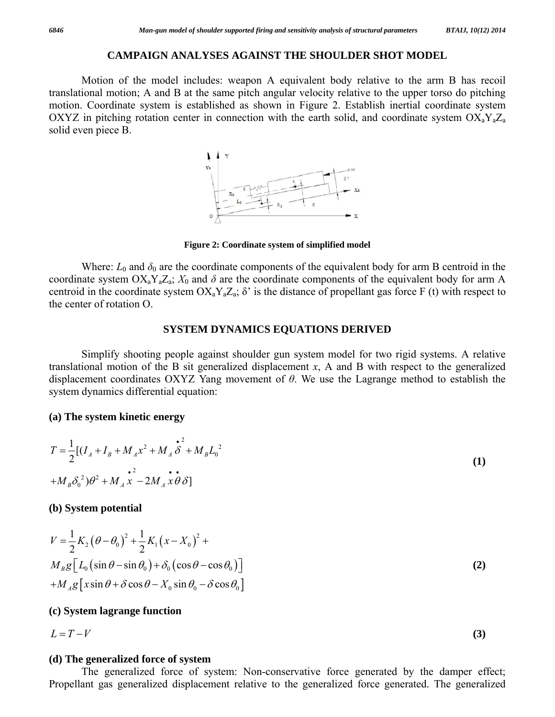#### **CAMPAIGN ANALYSES AGAINST THE SHOULDER SHOT MODEL**

 Motion of the model includes: weapon A equivalent body relative to the arm B has recoil translational motion; A and B at the same pitch angular velocity relative to the upper torso do pitching motion. Coordinate system is established as shown in Figure 2. Establish inertial coordinate system OXYZ in pitching rotation center in connection with the earth solid, and coordinate system  $OX_aY_aZ_a$ solid even piece B.



**Figure 2: Coordinate system of simplified model**

Where:  $L_0$  and  $\delta_0$  are the coordinate components of the equivalent body for arm B centroid in the coordinate system  $OX_aY_aZ_a$ ;  $X_0$  and  $\delta$  are the coordinate components of the equivalent body for arm A centroid in the coordinate system  $OX_aY_aZ_a$ ;  $\delta'$  is the distance of propellant gas force F (t) with respect to the center of rotation O.

### **SYSTEM DYNAMICS EQUATIONS DERIVED**

 Simplify shooting people against shoulder gun system model for two rigid systems. A relative translational motion of the B sit generalized displacement *x*, A and B with respect to the generalized displacement coordinates OXYZ Yang movement of *θ*. We use the Lagrange method to establish the system dynamics differential equation:

#### **(a) The system kinetic energy**

$$
T = \frac{1}{2} [(I_A + I_B + M_A x^2 + M_A \stackrel{\bullet}{\delta}^2 + M_B L_0^2 + M_B \stackrel{\bullet}{\delta}^2 + M_B L_0^2]
$$
  
+ 
$$
M_B \delta_0^2 \partial^2 + M_A x^2 - 2M_A x \partial \delta]
$$
 (1)

#### **(b) System potential**

$$
V = \frac{1}{2} K_2 (\theta - \theta_0)^2 + \frac{1}{2} K_1 (x - X_0)^2 + M_B g [L_0 (\sin \theta - \sin \theta_0) + \delta_0 (\cos \theta - \cos \theta_0)]
$$
  
+ 
$$
M_A g [x \sin \theta + \delta \cos \theta - X_0 \sin \theta_0 - \delta \cos \theta_0]
$$
 (2)

#### **(c) System lagrange function**

$$
L = T - V \tag{3}
$$

#### **(d) The generalized force of system**

 The generalized force of system: Non-conservative force generated by the damper effect; Propellant gas generalized displacement relative to the generalized force generated. The generalized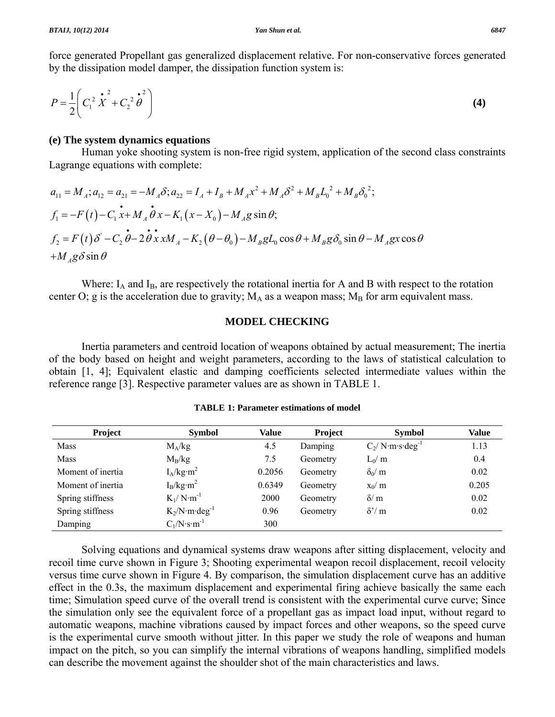force generated Propellant gas generalized displacement relative. For non-conservative forces generated by the dissipation model damper, the dissipation function system is:

$$
P = \frac{1}{2} \left( C_1^2 \mathbf{\hat{X}}^2 + C_2^2 \mathbf{\hat{\theta}}^2 \right)
$$
 (4)

#### **(e) The system dynamics equations**

 Human yoke shooting system is non-free rigid system, application of the second class constraints Lagrange equations with complete:

$$
a_{11} = M_A; a_{12} = a_{21} = -M_A \delta; a_{22} = I_A + I_B + M_A x^2 + M_A \delta^2 + M_B L_0^2 + M_B \delta_0^2;
$$
  
\n
$$
f_1 = -F(t) - C_1 x + M_A \dot{\theta} x - K_1 (x - X_0) - M_A g \sin \theta;
$$
  
\n
$$
f_2 = F(t) \delta' - C_2 \dot{\theta} - 2 \dot{\theta} x x M_A - K_2 (\theta - \theta_0) - M_B g L_0 \cos \theta + M_B g \delta_0 \sin \theta - M_A g x \cos \theta
$$
  
\n
$$
+ M_A g \delta \sin \theta
$$

Where:  $I_A$  and  $I_B$ , are respectively the rotational inertia for A and B with respect to the rotation center O; g is the acceleration due to gravity;  $M_A$  as a weapon mass;  $M_B$  for arm equivalent mass.

### **MODEL CHECKING**

 Inertia parameters and centroid location of weapons obtained by actual measurement; The inertia of the body based on height and weight parameters, according to the laws of statistical calculation to obtain [1, 4]; Equivalent elastic and damping coefficients selected intermediate values within the reference range [3]. Respective parameter values are as shown in TABLE 1.

| <b>Project</b>    | <b>Symbol</b>                  | Value  | <b>Project</b> | <b>Symbol</b>                 | <b>Value</b> |
|-------------------|--------------------------------|--------|----------------|-------------------------------|--------------|
| <b>Mass</b>       | $M_A/kg$                       | 4.5    | Damping        | $C_2/N$ m s deg <sup>-1</sup> | 1.13         |
| <b>Mass</b>       | $M_B/kg$                       | 7.5    | Geometry       | $L_0/m$                       | 0.4          |
| Moment of inertia | $I_A/kg·m^2$                   | 0.2056 | Geometry       | $\delta_0/m$                  | 0.02         |
| Moment of inertia | $I_B/kg·m^2$                   | 0.6349 | Geometry       | $x_0/m$                       | 0.205        |
| Spring stiffness  | $K_1/N \cdot m^{-1}$           | 2000   | Geometry       | $\delta/m$                    | 0.02         |
| Spring stiffness  | $K_2/N \cdot m \cdot deg^{-1}$ | 0.96   | Geometry       | $\delta'/m$                   | 0.02         |
| Damping           | $C_1/N \cdot s \cdot m^{-1}$   | 300    |                |                               |              |

**TABLE 1: Parameter estimations of model** 

 Solving equations and dynamical systems draw weapons after sitting displacement, velocity and recoil time curve shown in Figure 3; Shooting experimental weapon recoil displacement, recoil velocity versus time curve shown in Figure 4. By comparison, the simulation displacement curve has an additive effect in the 0.3s, the maximum displacement and experimental firing achieve basically the same each time; Simulation speed curve of the overall trend is consistent with the experimental curve curve; Since the simulation only see the equivalent force of a propellant gas as impact load input, without regard to automatic weapons, machine vibrations caused by impact forces and other weapons, so the speed curve is the experimental curve smooth without jitter. In this paper we study the role of weapons and human impact on the pitch, so you can simplify the internal vibrations of weapons handling, simplified models can describe the movement against the shoulder shot of the main characteristics and laws.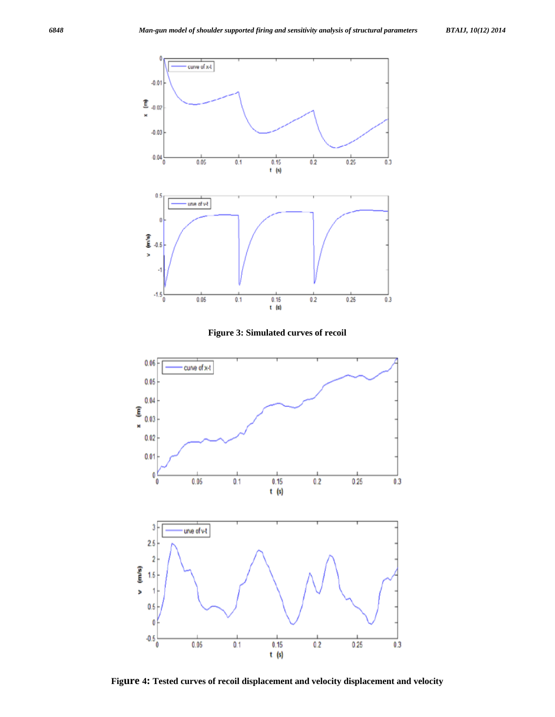





**Figure 4: Tested curves of recoil displacement and velocity displacement and velocity**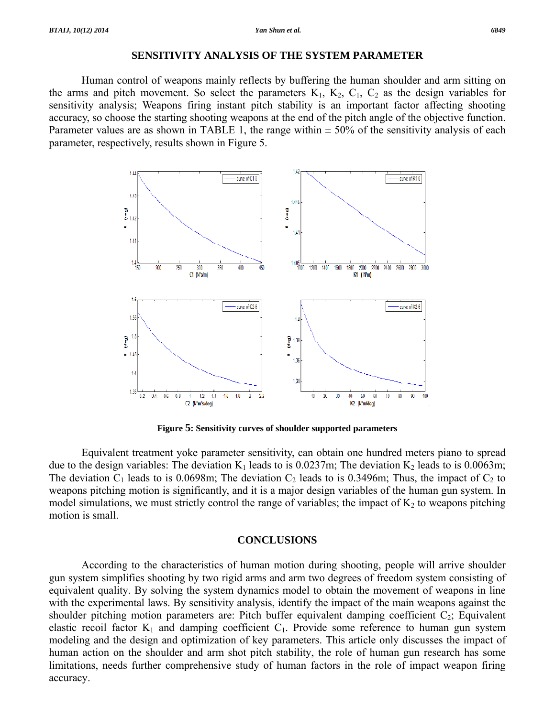#### **SENSITIVITY ANALYSIS OF THE SYSTEM PARAMETER**

 Human control of weapons mainly reflects by buffering the human shoulder and arm sitting on the arms and pitch movement. So select the parameters  $K_1$ ,  $K_2$ ,  $C_1$ ,  $C_2$  as the design variables for sensitivity analysis; Weapons firing instant pitch stability is an important factor affecting shooting accuracy, so choose the starting shooting weapons at the end of the pitch angle of the objective function. Parameter values are as shown in TABLE 1, the range within  $\pm$  50% of the sensitivity analysis of each parameter, respectively, results shown in Figure 5.



**Figure 5: Sensitivity curves of shoulder supported parameters** 

 Equivalent treatment yoke parameter sensitivity, can obtain one hundred meters piano to spread due to the design variables: The deviation  $K_1$  leads to is 0.0237m; The deviation  $K_2$  leads to is 0.0063m; The deviation  $C_1$  leads to is 0.0698m; The deviation  $C_2$  leads to is 0.3496m; Thus, the impact of  $C_2$  to weapons pitching motion is significantly, and it is a major design variables of the human gun system. In model simulations, we must strictly control the range of variables; the impact of  $K_2$  to weapons pitching motion is small.

#### **CONCLUSIONS**

 According to the characteristics of human motion during shooting, people will arrive shoulder gun system simplifies shooting by two rigid arms and arm two degrees of freedom system consisting of equivalent quality. By solving the system dynamics model to obtain the movement of weapons in line with the experimental laws. By sensitivity analysis, identify the impact of the main weapons against the shoulder pitching motion parameters are: Pitch buffer equivalent damping coefficient  $C_2$ ; Equivalent elastic recoil factor  $K_1$  and damping coefficient  $C_1$ . Provide some reference to human gun system modeling and the design and optimization of key parameters. This article only discusses the impact of human action on the shoulder and arm shot pitch stability, the role of human gun research has some limitations, needs further comprehensive study of human factors in the role of impact weapon firing accuracy.